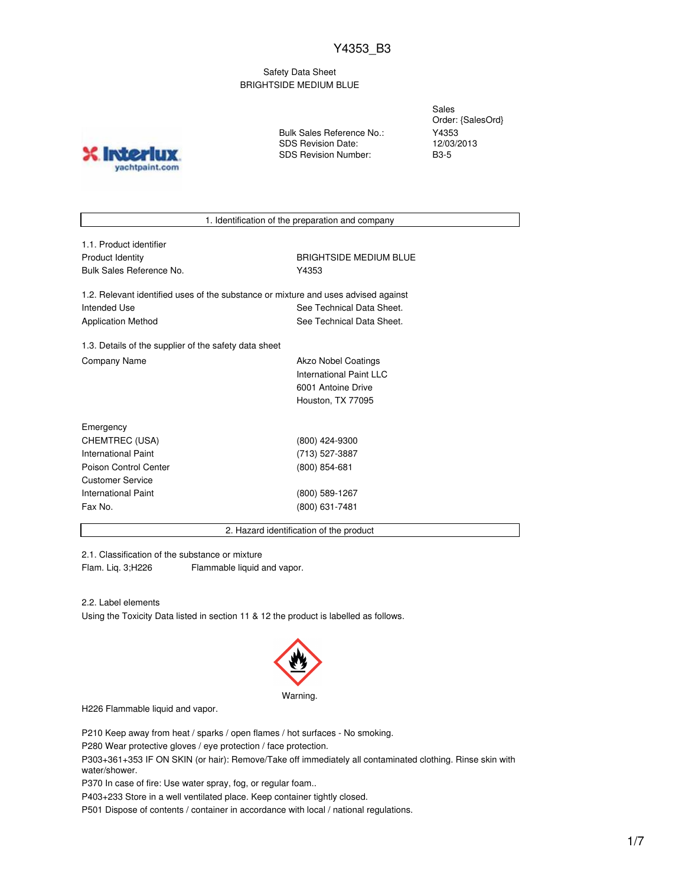Safety Data Sheet BRIGHTSIDE MEDIUM BLUE

**INIOT** yachtpaint.com Bulk Sales Reference No.: SDS Revision Date: SDS Revision Number:

Sales Order: {SalesOrd} Y4353 12/03/2013 B3-5

1. Identification of the preparation and company

| 1.1. Product identifier  |
|--------------------------|
| Product Identity         |
| Bulk Sales Reference No. |

**BRIGHTSIDE MEDIUM BLUE** Y4353

1.2. Relevant identified uses of the substance or mixture and uses advised against Intended Use **See Technical Data Sheet.** See Technical Data Sheet. Application Method See Technical Data Sheet.

1.3. Details of the supplier of the safety data sheet Company Name **Akzo Nobel Coatings** Company Name

International Paint LLC 6001 Antoine Drive Houston, TX 77095

| Emergency                  |                |
|----------------------------|----------------|
| CHEMTREC (USA)             | (800) 424-9300 |
| <b>International Paint</b> | (713) 527-3887 |
| Poison Control Center      | (800) 854-681  |
| Customer Service           |                |
| International Paint        | (800) 589-1267 |
| Fax No.                    | (800) 631-7481 |
|                            |                |

2. Hazard identification of the product

2.1. Classification of the substance or mixture Flam. Liq. 3;H226 Flammable liquid and vapor.

2.2. Label elements

Using the Toxicity Data listed in section 11 & 12 the product is labelled as follows.



H226 Flammable liquid and vapor.

P210 Keep away from heat / sparks / open flames / hot surfaces - No smoking.

P280 Wear protective gloves / eye protection / face protection.

P303+361+353 IF ON SKIN (or hair): Remove/Take off immediately all contaminated clothing. Rinse skin with water/shower.

P370 In case of fire: Use water spray, fog, or regular foam..

P403+233 Store in a well ventilated place. Keep container tightly closed.

P501 Dispose of contents / container in accordance with local / national regulations.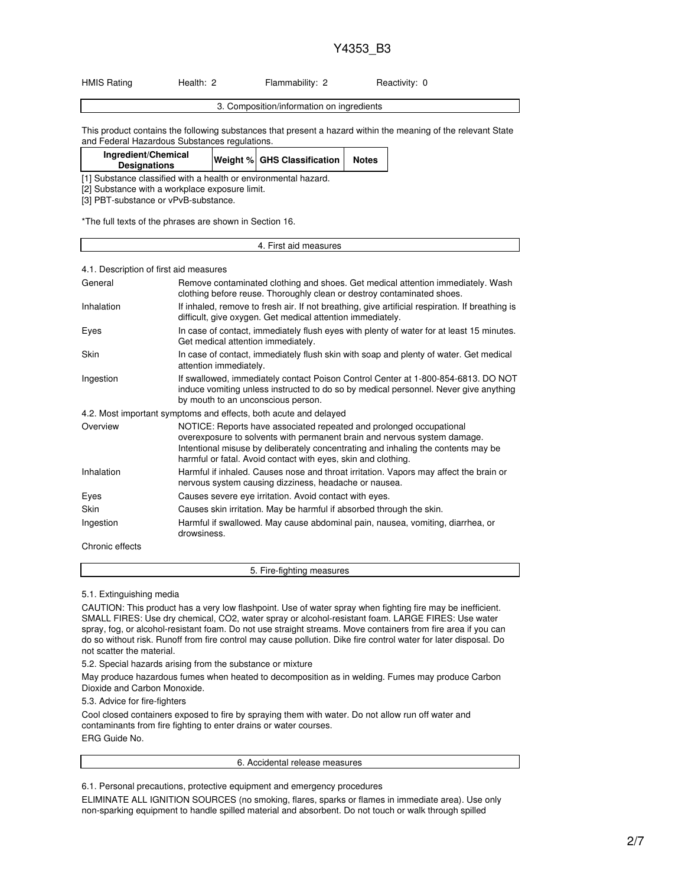| <b>HMIS Rating</b> | Health: 2 | Flammability: 2 | Reactivity: 0 |
|--------------------|-----------|-----------------|---------------|

| ealent.<br>nn<br>ہے یہ د<br>поі |  |
|---------------------------------|--|
|                                 |  |

This product contains the following substances that present a hazard within the meaning of the relevant State and Federal Hazardous Substances regulations.

| Ingredient/Chemical<br><b>Designations</b>                                                       | Weight % GHS Classification | <b>Notes</b> |
|--------------------------------------------------------------------------------------------------|-----------------------------|--------------|
| المتحصص والمفصوصين ومستحيث ومستحل والماجي والمتحال والمتحدث والمتحدث والمستحدث والمنافس والمتحدث |                             |              |

[1] Substance classified with a health or environmental hazard.

[2] Substance with a workplace exposure limit.

[3] PBT-substance or vPvB-substance.

\*The full texts of the phrases are shown in Section 16.

# 4. First aid measures

#### 4.1. Description of first aid measures

| General           | Remove contaminated clothing and shoes. Get medical attention immediately. Wash<br>clothing before reuse. Thoroughly clean or destroy contaminated shoes.                                                                                                                                             |
|-------------------|-------------------------------------------------------------------------------------------------------------------------------------------------------------------------------------------------------------------------------------------------------------------------------------------------------|
| <b>Inhalation</b> | If inhaled, remove to fresh air. If not breathing, give artificial respiration. If breathing is<br>difficult, give oxygen. Get medical attention immediately.                                                                                                                                         |
| Eyes              | In case of contact, immediately flush eyes with plenty of water for at least 15 minutes.<br>Get medical attention immediately.                                                                                                                                                                        |
| Skin              | In case of contact, immediately flush skin with soap and plenty of water. Get medical<br>attention immediately.                                                                                                                                                                                       |
| Ingestion         | If swallowed, immediately contact Poison Control Center at 1-800-854-6813. DO NOT<br>induce vomiting unless instructed to do so by medical personnel. Never give anything<br>by mouth to an unconscious person.                                                                                       |
|                   | 4.2. Most important symptoms and effects, both acute and delayed                                                                                                                                                                                                                                      |
| Overview          | NOTICE: Reports have associated repeated and prolonged occupational<br>overexposure to solvents with permanent brain and nervous system damage.<br>Intentional misuse by deliberately concentrating and inhaling the contents may be<br>harmful or fatal. Avoid contact with eyes, skin and clothing. |
| Inhalation        | Harmful if inhaled. Causes nose and throat irritation. Vapors may affect the brain or<br>nervous system causing dizziness, headache or nausea.                                                                                                                                                        |
| Eyes              | Causes severe eye irritation. Avoid contact with eyes.                                                                                                                                                                                                                                                |
| Skin              | Causes skin irritation. May be harmful if absorbed through the skin.                                                                                                                                                                                                                                  |
| Ingestion         | Harmful if swallowed. May cause abdominal pain, nausea, vomiting, diarrhea, or<br>drowsiness.                                                                                                                                                                                                         |
| Chronic effects   |                                                                                                                                                                                                                                                                                                       |

5. Fire-fighting measures

5.1. Extinguishing media

CAUTION: This product has a very low flashpoint. Use of water spray when fighting fire may be inefficient. SMALL FIRES: Use dry chemical, CO2, water spray or alcohol-resistant foam. LARGE FIRES: Use water spray, fog, or alcohol-resistant foam. Do not use straight streams. Move containers from fire area if you can do so without risk. Runoff from fire control may cause pollution. Dike fire control water for later disposal. Do not scatter the material.

5.2. Special hazards arising from the substance or mixture

May produce hazardous fumes when heated to decomposition as in welding. Fumes may produce Carbon Dioxide and Carbon Monoxide.

5.3. Advice for fire-fighters

Cool closed containers exposed to fire by spraying them with water. Do not allow run off water and contaminants from fire fighting to enter drains or water courses. ERG Guide No.

6. Accidental release measures

6.1. Personal precautions, protective equipment and emergency procedures

ELIMINATE ALL IGNITION SOURCES (no smoking, flares, sparks or flames in immediate area). Use only non-sparking equipment to handle spilled material and absorbent. Do not touch or walk through spilled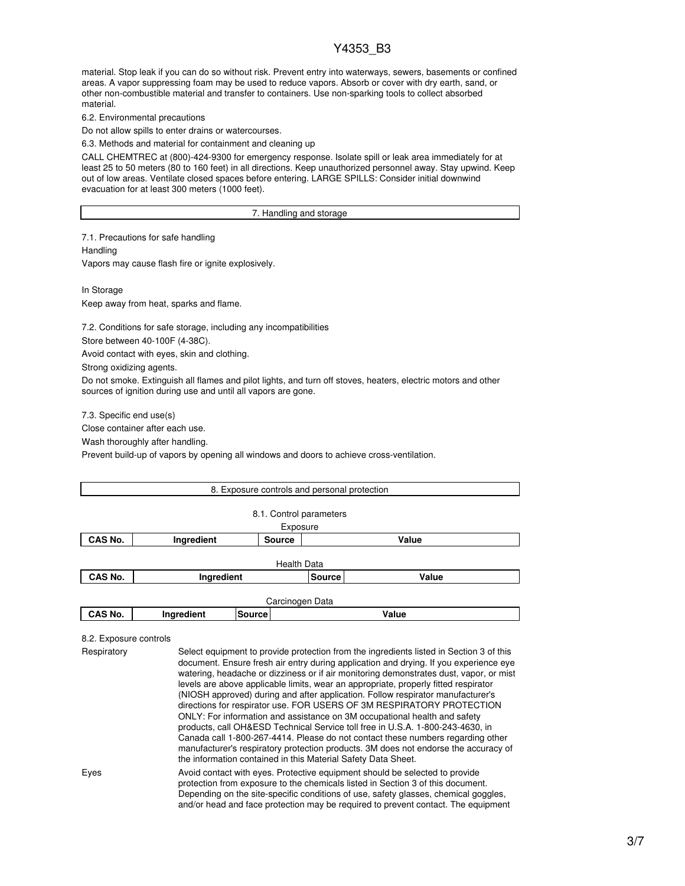material. Stop leak if you can do so without risk. Prevent entry into waterways, sewers, basements or confined areas. A vapor suppressing foam may be used to reduce vapors. Absorb or cover with dry earth, sand, or other non-combustible material and transfer to containers. Use non-sparking tools to collect absorbed material.

6.2. Environmental precautions

Do not allow spills to enter drains or watercourses.

6.3. Methods and material for containment and cleaning up

CALL CHEMTREC at (800)-424-9300 for emergency response. Isolate spill or leak area immediately for at least 25 to 50 meters (80 to 160 feet) in all directions. Keep unauthorized personnel away. Stay upwind. Keep out of low areas. Ventilate closed spaces before entering. LARGE SPILLS: Consider initial downwind evacuation for at least 300 meters (1000 feet).

#### 7. Handling and storage

7.1. Precautions for safe handling **Handling** Vapors may cause flash fire or ignite explosively.

In Storage Keep away from heat, sparks and flame.

7.2. Conditions for safe storage, including any incompatibilities

Store between 40-100F (4-38C).

Avoid contact with eyes, skin and clothing.

Strong oxidizing agents.

Do not smoke. Extinguish all flames and pilot lights, and turn off stoves, heaters, electric motors and other sources of ignition during use and until all vapors are gone.

7.3. Specific end use(s)

Close container after each use.

Wash thoroughly after handling.

Prevent build-up of vapors by opening all windows and doors to achieve cross-ventilation.

|         |            |               | 8. Exposure controls and personal protection |       |  |
|---------|------------|---------------|----------------------------------------------|-------|--|
|         |            |               | 8.1. Control parameters                      |       |  |
|         |            |               | Exposure                                     |       |  |
| CAS No. | Ingredient | <b>Source</b> |                                              | Value |  |
|         |            |               | <b>Health Data</b>                           |       |  |
| CAS No. | Ingredient |               | <b>Source</b>                                | Value |  |
|         |            |               | Carcinogen Data                              |       |  |
| CAS No. | Ingredient | Source        | Value                                        |       |  |

#### 8.2. Exposure controls

| Respiratory | Select equipment to provide protection from the ingredients listed in Section 3 of this<br>document. Ensure fresh air entry during application and drying. If you experience eye<br>watering, headache or dizziness or if air monitoring demonstrates dust, vapor, or mist<br>levels are above applicable limits, wear an appropriate, properly fitted respirator<br>(NIOSH approved) during and after application. Follow respirator manufacturer's<br>directions for respirator use. FOR USERS OF 3M RESPIRATORY PROTECTION<br>ONLY: For information and assistance on 3M occupational health and safety<br>products, call OH&ESD Technical Service toll free in U.S.A. 1-800-243-4630, in<br>Canada call 1-800-267-4414. Please do not contact these numbers regarding other<br>manufacturer's respiratory protection products. 3M does not endorse the accuracy of<br>the information contained in this Material Safety Data Sheet. |
|-------------|-----------------------------------------------------------------------------------------------------------------------------------------------------------------------------------------------------------------------------------------------------------------------------------------------------------------------------------------------------------------------------------------------------------------------------------------------------------------------------------------------------------------------------------------------------------------------------------------------------------------------------------------------------------------------------------------------------------------------------------------------------------------------------------------------------------------------------------------------------------------------------------------------------------------------------------------|
| Eyes        | Avoid contact with eyes. Protective equipment should be selected to provide<br>protection from exposure to the chemicals listed in Section 3 of this document.<br>Depending on the site-specific conditions of use, safety glasses, chemical goggles,<br>and/or head and face protection may be required to prevent contact. The equipment                                                                                                                                                                                                                                                                                                                                                                                                                                                                                                                                                                                              |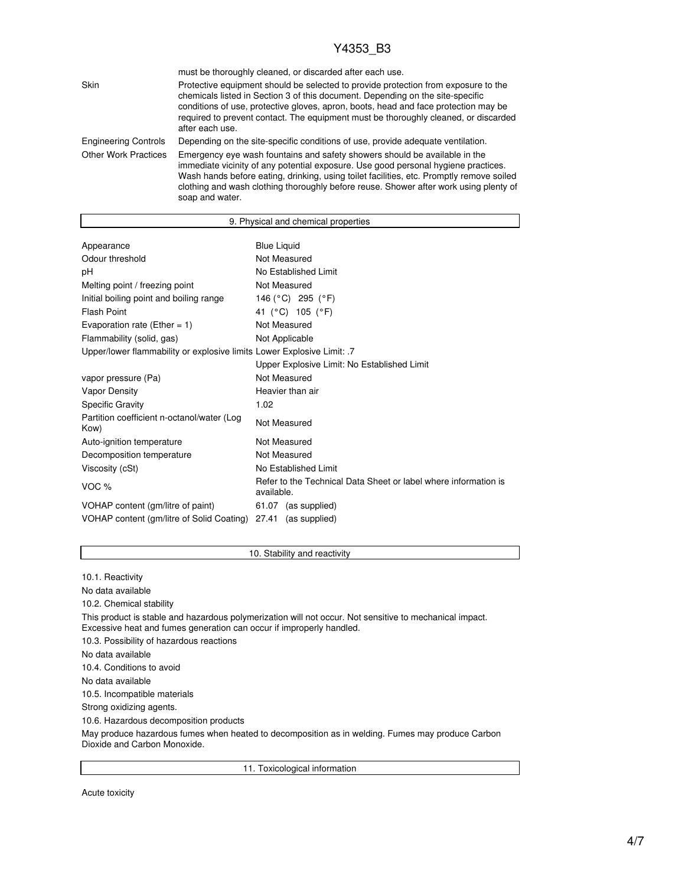|                             | must be thoroughly cleaned, or discarded after each use.                                                                                                                                                                                                                                                                                                                 |
|-----------------------------|--------------------------------------------------------------------------------------------------------------------------------------------------------------------------------------------------------------------------------------------------------------------------------------------------------------------------------------------------------------------------|
| Skin                        | Protective equipment should be selected to provide protection from exposure to the<br>chemicals listed in Section 3 of this document. Depending on the site-specific<br>conditions of use, protective gloves, apron, boots, head and face protection may be<br>required to prevent contact. The equipment must be thoroughly cleaned, or discarded<br>after each use.    |
| <b>Engineering Controls</b> | Depending on the site-specific conditions of use, provide adequate ventilation.                                                                                                                                                                                                                                                                                          |
| <b>Other Work Practices</b> | Emergency eye wash fountains and safety showers should be available in the<br>immediate vicinity of any potential exposure. Use good personal hygiene practices.<br>Wash hands before eating, drinking, using toilet facilities, etc. Promptly remove soiled<br>clothing and wash clothing thoroughly before reuse. Shower after work using plenty of<br>soap and water. |

|                                                                        | 9. Physical and chemical properties                                           |  |  |
|------------------------------------------------------------------------|-------------------------------------------------------------------------------|--|--|
|                                                                        |                                                                               |  |  |
| Appearance                                                             | <b>Blue Liquid</b>                                                            |  |  |
| Odour threshold                                                        | Not Measured                                                                  |  |  |
| рH                                                                     | No Established Limit                                                          |  |  |
| Melting point / freezing point                                         | Not Measured                                                                  |  |  |
| Initial boiling point and boiling range                                | 146 (°C) 295 (°F)                                                             |  |  |
| <b>Flash Point</b>                                                     | 41 (°C) 105 (°F)                                                              |  |  |
| Evaporation rate (Ether = $1$ )                                        | Not Measured                                                                  |  |  |
| Flammability (solid, gas)                                              | Not Applicable                                                                |  |  |
| Upper/lower flammability or explosive limits Lower Explosive Limit: .7 |                                                                               |  |  |
|                                                                        | Upper Explosive Limit: No Established Limit                                   |  |  |
| vapor pressure (Pa)                                                    | Not Measured                                                                  |  |  |
| <b>Vapor Density</b>                                                   | Heavier than air                                                              |  |  |
| <b>Specific Gravity</b>                                                | 1.02                                                                          |  |  |
| Partition coefficient n-octanol/water (Log<br>Kow)                     | Not Measured                                                                  |  |  |
| Auto-ignition temperature                                              | Not Measured                                                                  |  |  |
| Decomposition temperature                                              | Not Measured                                                                  |  |  |
| Viscosity (cSt)                                                        | No Established Limit                                                          |  |  |
| VOC $%$                                                                | Refer to the Technical Data Sheet or label where information is<br>available. |  |  |
| VOHAP content (gm/litre of paint)                                      | 61.07 (as supplied)                                                           |  |  |
| VOHAP content (gm/litre of Solid Coating)                              | 27.41 (as supplied)                                                           |  |  |

### 10. Stability and reactivity

10.1. Reactivity No data available 10.2. Chemical stability This product is stable and hazardous polymerization will not occur. Not sensitive to mechanical impact. Excessive heat and fumes generation can occur if improperly handled. 10.3. Possibility of hazardous reactions No data available 10.4. Conditions to avoid No data available 10.5. Incompatible materials Strong oxidizing agents. 10.6. Hazardous decomposition products

May produce hazardous fumes when heated to decomposition as in welding. Fumes may produce Carbon Dioxide and Carbon Monoxide.

11. Toxicological information

Acute toxicity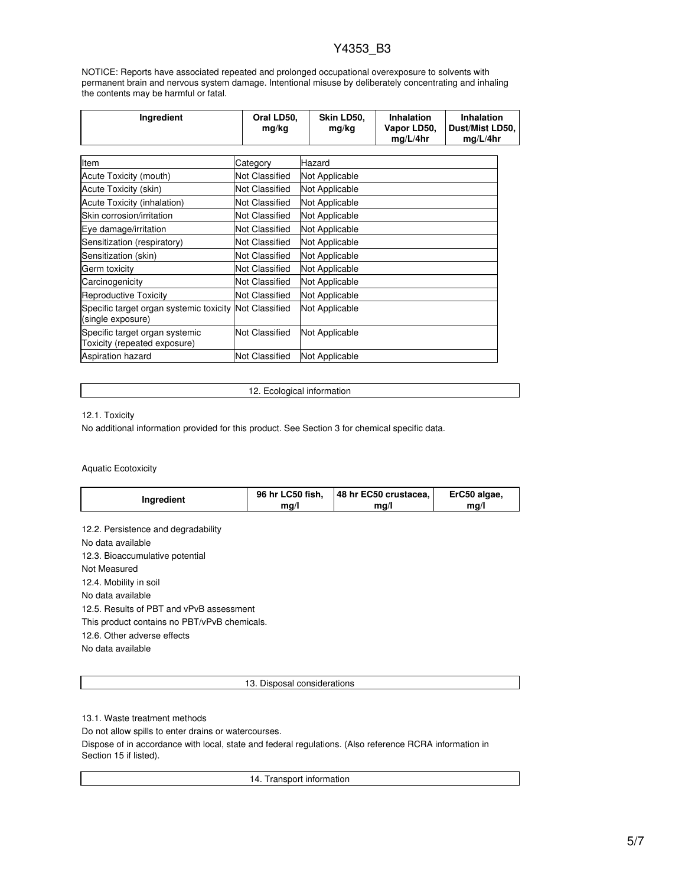NOTICE: Reports have associated repeated and prolonged occupational overexposure to solvents with permanent brain and nervous system damage. Intentional misuse by deliberately concentrating and inhaling the contents may be harmful or fatal.

| Ingredient                                                                  | Oral LD50,<br>mg/kg   | Skin LD50,<br>mg/kg | <b>Inhalation</b><br>Vapor LD50,<br>mg/L/4hr | <b>Inhalation</b><br>Dust/Mist LD50,<br>mq/L/4hr |
|-----------------------------------------------------------------------------|-----------------------|---------------------|----------------------------------------------|--------------------------------------------------|
| Item                                                                        |                       | Hazard              |                                              |                                                  |
|                                                                             | Category              |                     |                                              |                                                  |
| Acute Toxicity (mouth)                                                      | Not Classified        | Not Applicable      |                                              |                                                  |
| Acute Toxicity (skin)                                                       | Not Classified        | Not Applicable      |                                              |                                                  |
| Acute Toxicity (inhalation)                                                 | Not Classified        | Not Applicable      |                                              |                                                  |
| Skin corrosion/irritation                                                   | Not Classified        | Not Applicable      |                                              |                                                  |
| Eye damage/irritation                                                       | Not Classified        | Not Applicable      |                                              |                                                  |
| Sensitization (respiratory)                                                 | Not Classified        | Not Applicable      |                                              |                                                  |
| Sensitization (skin)                                                        | <b>Not Classified</b> | Not Applicable      |                                              |                                                  |
| Germ toxicity                                                               | <b>Not Classified</b> | Not Applicable      |                                              |                                                  |
| Carcinogenicity                                                             | <b>Not Classified</b> | Not Applicable      |                                              |                                                  |
| <b>Reproductive Toxicity</b>                                                | <b>Not Classified</b> | Not Applicable      |                                              |                                                  |
| Specific target organ systemic toxicity Not Classified<br>(single exposure) |                       | Not Applicable      |                                              |                                                  |
| Specific target organ systemic<br>Toxicity (repeated exposure)              | Not Classified        | Not Applicable      |                                              |                                                  |
| <b>Aspiration hazard</b>                                                    | <b>Not Classified</b> | Not Applicable      |                                              |                                                  |

12. Ecological information

12.1. Toxicity

No additional information provided for this product. See Section 3 for chemical specific data.

Aquatic Ecotoxicity

| Ingredient<br>ma/l<br>ma/l<br>ma/l | 48 hr EC50 crustacea,<br>ErC50 algae, | 96 hr LC50 fish, |  |
|------------------------------------|---------------------------------------|------------------|--|
|------------------------------------|---------------------------------------|------------------|--|

12.2. Persistence and degradability No data available 12.3. Bioaccumulative potential Not Measured 12.4. Mobility in soil No data available 12.5. Results of PBT and vPvB assessment This product contains no PBT/vPvB chemicals. 12.6. Other adverse effects No data available

13. Disposal considerations

13.1. Waste treatment methods

Do not allow spills to enter drains or watercourses.

Dispose of in accordance with local, state and federal regulations. (Also reference RCRA information in Section 15 if listed).

14. Transport information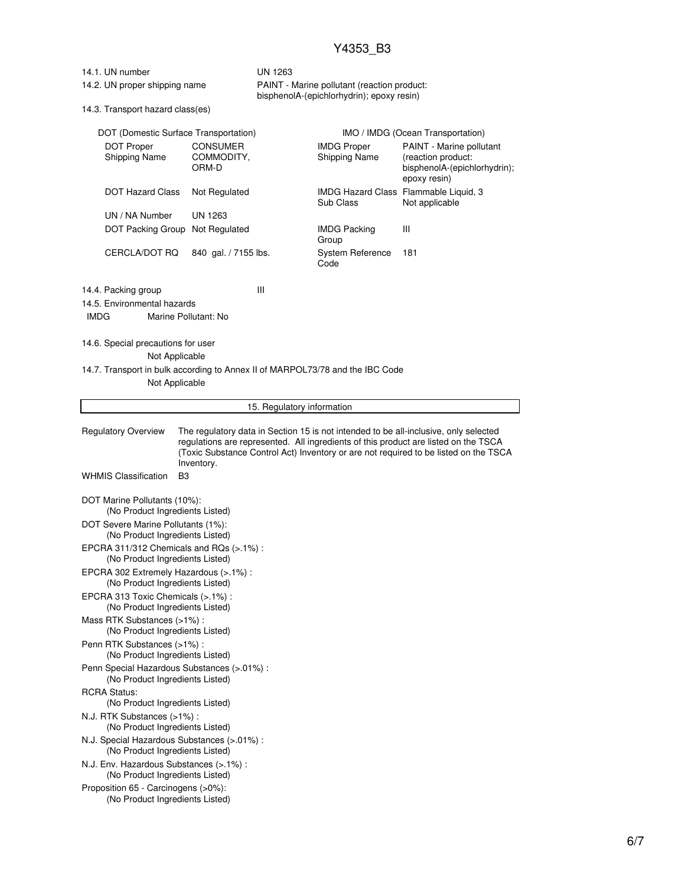| 14.1. UN number |  |
|-----------------|--|
|-----------------|--|

## UN 1263 14.2. UN proper shipping name PAINT - Marine pollutant (reaction product:

bisphenolA-(epichlorhydrin); epoxy resin)

14.3. Transport hazard class(es)

| DOT (Domestic Surface Transportation)<br><b>DOT Proper</b><br><b>Shipping Name</b>              | <b>CONSUMER</b><br>COMMODITY,                                                                                                                                                                                                                                       | <b>IMDG Proper</b><br><b>Shipping Name</b> | IMO / IMDG (Ocean Transportation)<br>PAINT - Marine pollutant<br>(reaction product: |  |
|-------------------------------------------------------------------------------------------------|---------------------------------------------------------------------------------------------------------------------------------------------------------------------------------------------------------------------------------------------------------------------|--------------------------------------------|-------------------------------------------------------------------------------------|--|
|                                                                                                 | ORM-D                                                                                                                                                                                                                                                               |                                            | bisphenolA-(epichlorhydrin);<br>epoxy resin)                                        |  |
| <b>DOT Hazard Class</b>                                                                         | Not Regulated                                                                                                                                                                                                                                                       | Sub Class                                  | IMDG Hazard Class Flammable Liquid, 3<br>Not applicable                             |  |
| UN / NA Number                                                                                  | UN 1263                                                                                                                                                                                                                                                             |                                            |                                                                                     |  |
| DOT Packing Group Not Regulated                                                                 |                                                                                                                                                                                                                                                                     | <b>IMDG Packing</b><br>Group               | Ш                                                                                   |  |
| CERCLA/DOT RQ                                                                                   | 840 gal. / 7155 lbs.                                                                                                                                                                                                                                                | <b>System Reference</b><br>Code            | 181                                                                                 |  |
| 14.4. Packing group                                                                             | Ш                                                                                                                                                                                                                                                                   |                                            |                                                                                     |  |
| 14.5. Environmental hazards<br><b>IMDG</b>                                                      | Marine Pollutant: No                                                                                                                                                                                                                                                |                                            |                                                                                     |  |
|                                                                                                 |                                                                                                                                                                                                                                                                     |                                            |                                                                                     |  |
| 14.6. Special precautions for user                                                              |                                                                                                                                                                                                                                                                     |                                            |                                                                                     |  |
| Not Applicable                                                                                  |                                                                                                                                                                                                                                                                     |                                            |                                                                                     |  |
| 14.7. Transport in bulk according to Annex II of MARPOL73/78 and the IBC Code<br>Not Applicable |                                                                                                                                                                                                                                                                     |                                            |                                                                                     |  |
|                                                                                                 | 15. Regulatory information                                                                                                                                                                                                                                          |                                            |                                                                                     |  |
|                                                                                                 |                                                                                                                                                                                                                                                                     |                                            |                                                                                     |  |
| <b>Regulatory Overview</b>                                                                      | The regulatory data in Section 15 is not intended to be all-inclusive, only selected<br>regulations are represented. All ingredients of this product are listed on the TSCA<br>(Toxic Substance Control Act) Inventory or are not required to be listed on the TSCA |                                            |                                                                                     |  |
| <b>WHMIS Classification</b><br>B3                                                               | Inventory.                                                                                                                                                                                                                                                          |                                            |                                                                                     |  |
| DOT Marine Pollutants (10%):<br>(No Product Ingredients Listed)                                 |                                                                                                                                                                                                                                                                     |                                            |                                                                                     |  |
| DOT Severe Marine Pollutants (1%):<br>(No Product Ingredients Listed)                           |                                                                                                                                                                                                                                                                     |                                            |                                                                                     |  |
| EPCRA 311/312 Chemicals and RQs (>.1%):<br>(No Product Ingredients Listed)                      |                                                                                                                                                                                                                                                                     |                                            |                                                                                     |  |
| EPCRA 302 Extremely Hazardous (>.1%) :<br>(No Product Ingredients Listed)                       |                                                                                                                                                                                                                                                                     |                                            |                                                                                     |  |
| EPCRA 313 Toxic Chemicals (>.1%) :<br>(No Product Ingredients Listed)                           |                                                                                                                                                                                                                                                                     |                                            |                                                                                     |  |
| Mass RTK Substances (>1%):<br>(No Product Ingredients Listed)                                   |                                                                                                                                                                                                                                                                     |                                            |                                                                                     |  |
| Penn RTK Substances (>1%):<br>(No Product Ingredients Listed)                                   |                                                                                                                                                                                                                                                                     |                                            |                                                                                     |  |
| Penn Special Hazardous Substances (>.01%) :<br>(No Product Ingredients Listed)                  |                                                                                                                                                                                                                                                                     |                                            |                                                                                     |  |
| <b>RCRA Status:</b><br>(No Product Ingredients Listed)                                          |                                                                                                                                                                                                                                                                     |                                            |                                                                                     |  |
| N.J. RTK Substances (>1%) :<br>(No Product Ingredients Listed)                                  |                                                                                                                                                                                                                                                                     |                                            |                                                                                     |  |
| N.J. Special Hazardous Substances (>.01%) :<br>(No Product Ingredients Listed)                  |                                                                                                                                                                                                                                                                     |                                            |                                                                                     |  |
| N.J. Env. Hazardous Substances (>.1%) :<br>(No Product Ingredients Listed)                      |                                                                                                                                                                                                                                                                     |                                            |                                                                                     |  |
| Proposition 65 - Carcinogens (>0%):<br>(No Product Ingredients Listed)                          |                                                                                                                                                                                                                                                                     |                                            |                                                                                     |  |